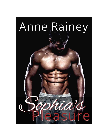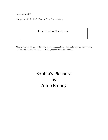December 2015

Copyright © "Sophia's Pleasure" by Anne Rainey

### Free Read – Not for sale

All rights reserved. No part of this book may be reproduced in any form or by any means without the prior written consent of the author, excepting brief quotes used in reviews.

# Sophia's Pleasure by Anne Rainey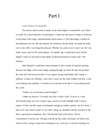## Part I

#### *I can't believe I'm doing this.*

The answer doesn't seem to matter as my body begins to respond the way I knew it would. I'm a quivering mass of anticipation. Cooper has the power to make or break me in the palms of his large, calloused hands and he knows it. The knowledge is etched on his handsome face too. But the moment he invited me into his home, he turned his body over to me. Only I can bring him pleasure. Whether he comes or not is up to me. He's my blank canvas and I'm the artistic genius. Six months ago I would never have let this happen. I had it in my head to keep thinks professional between Cooper and I. Not anymore.

With Michael I would have been ashamed to feel a trickle of moisture pooling between my thighs at the erotic images zipping through my head. He had always taken the reins and I had always let him. It was a good, strong relationship. But Cooper is different. Cooper isn't Michael. And I don't want to be the same Sophia with him. I want to be alluring and confident. I want him to see the part of me that I've been hiding from the world.

"Sophia, are you having second thoughts?"

I shake my head no. I'm totally sure this is what I want. To prove it, I step forward and unzip my coat. Cooper's gaze zeroes in on the skintight outfit I slowly expose. As the coat falls open, revealing the outrageous leather pantsuit, my face heats. I hear a low curse from Cooper. It isn't until I shrug my shoulders and the coat falls to the floor, exposing me completely, that I feel the full brunt of his desire. All his concentration is on me now. His gaze eats me up like candy. His hands are fisted at his sides as if he's trying to keep from reaching for me. God, how I want him touching me.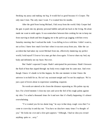Stroking my pussy and making me beg. It would feel so good because it's Cooper. The only man I trust. The only man I want. I've wanted him for months.

After the grief from losing Michael, I hid away from the world. Only Cooper had the guts to push into my gloomy personal bubble and pull me back to the living. He alone made me want to smile again. It was somewhere between him cooking for me to keep me from starving to death and him dragging me to the park to go jogging with him every Saturday morning that I realized the truth. I was falling in love with him. I didn't want to, not at first. I knew how much love hurt when it was torn away from you. After the car accident that had taken my sweet Michael from me, effectively shattering my perfect world, I told myself I'd never let a man get that close again. I'd never share my bed, my body and definitely not my heart. Not ever.

But I hadn't expected Cooper. Hadn't anticipated his persistence. Hadn't foreseen the flash of heat that zipped through my body every single time he came near. And even though I know it's dumb to let this happen, for this one moment in time I know the universe is on hold for us. He isn't my assistant tonight and I'm not his employer. We're just a pair of lovers about to experience something exquisite.

No words are uttered as he closes the distance separating us. His palms cup my face. For a brief moment I close my eyes and savor the feel of his rough palms against my skin. I've ached a thousand times for it and now that it's finally happening it's almost overwhelming.

"I've wanted you for too damn long," he says in that deep, rough voice that I've come to crave day in and day out. "You have no idea how many times I've thought of you." He looks me over and a slow grin appears. "Although, I had no idea you owned anything quite so…sexy."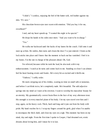"I didn't," I confess, enjoying the feel of the butter-soft, red leather against my skin. "It's new."

His chocolate-brown eyes turn warm with emotion. "Did you buy it for me, sweetheart?"

I nod, and my heart speeds up. "I wanted this night to be special."

He drops his hands to his sides once more. "And you want to be in charge." "Yes."

He walks me backward until the backs of my knees hit the couch. I fall onto it and stare up at him. He smiles, then turns and closes the door I've just entered. I listen as the lock snicks into place and I know that the moment to back out has vanished. I feel it in my bones. I'm the one in charge of the pleasure ahead. Oh, God.

I'm relieved, because while he took the lead, he also took with it my embarrassment. I watch as he turns and comes back to me. Standing so close I can almost feel his heart beating erratic and frantic. He's every bit as excited and it thrills me.

"Undress," I softly order.

He starts stripping out of his clothes, wasting no time on small talk or nonsense, and before I can blink twice, he's completely nude. He's beautiful. The odd adjective springs into my mind as I stare at his erection. I want to worship his masculine beauty for an eternity. My grammatically correct brain flees in the face of my sexy afternoon treat. His strength is in every muscled plane of his body. I let my eyes travel over him and I stop, again, on his heavy cock. Thick, hard and long and it juts out from his body with pride. My hand reaches for it. I wrap my fingers around his girth, glad when I'm unable to encompass the thick shaft, and close my eyes on a sigh. This moment has been on my mind, day and night. From the first time I spoke to Cooper, I had dreamed wet, erotic dreams about loving him, and I mean for it to last.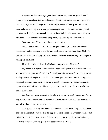I squeeze my fist, eliciting a groan from him and he pushes his groin forward, trying to attain something just out of his reach. A thrill runs up and down my spine as I feel a shot of power run through me. The skin-tight, shiny red PVC pants and spiked heels make me feel sexy and in charge. The scooped-neck vest I chose for this special occasion has little zippers over each breast and I can feel the cold metal teeth against my hard nipples. The idea of Cooper unzipping them, exposing my tits, turns me on.

"On your knees," I order, needing to see him obey.

When he sinks down in front of me, his powerful thighs spread wide and his impressive erection bobbing up and down, I nearly come right then and there. God, it's been so long since I've felt any sort of excitement. Without even touching me, Cooper is turning me inside out.

He winks just before lowering his head. "As you wish…Mistress."

My temperature spikes. The word feels right coming from him. It feels real. "Put your arms behind your back," I tell him. "I want your total surrender." He quickly moves to obey and my clit begins to pulse. "You're such a good pet," I tell him, knowing how important praise is. Good behavior should always be rewarded. I'd learned that during my marriage with Michael. He'd been very good at rewarding me. I'd been well trained and I still miss him.

But this time around I wanted to be reborn. I wanted to watch Cooper bow for me. Beg to please me. I craved that and I knew he did too. That's what made this moment so special. We both ached for the same thing.

Slowly, I come to my feet and walk to the coffee table where I'd placed my black bag earlier. I reached down and slid the zipper back and pulled out a wooden paddle I had tucked inside. When I came back to Cooper, I was pleased to note he hadn't looked up. He had to be curious, but his gaze stayed obediently on the floor.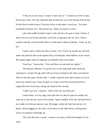"I like you on your knees, Cooper. It turns me on." I waited to see if he'd reply, but he stays silent. The only indication that he heard me was in the flexing of his biceps. He had drool-worthy biceps. I'd always felt he would make a lovely pet. "You show remarkable restraint, love. That pleases me. I think you deserve a treat."

I place the paddle beneath Cooper's chin and force his gaze to mine. Flames of desire lick over my breasts and pussy as his hot, savage gaze eats my alive. I had to swallow and take several breaths before I could speak without trembling. "Unzip my tits, pet."

Cooper's grin is delicious when it comes. Very slowly, he reaches up with both hands and pulls the tabs on the zippers back, revealing the round fullness of my breasts. My nipples tingle when his fingertips accidentally brush across them.

"Good boy," I praise him. "Now, pull them out and suck my nipples."

"My pleasure, Mistress," he growls low as one large hand slides inside the opening he's created. He tugs until both my breast is framed by the shiny red material. Then he does the same with the other. I couldn't help the moan that escapes as cool air teases my sensitive tips. I keep my gaze on Cooper as he leans forward and licks. I cupped the back of his head, aching and ready for him already.

"I didn't say lick," I chastise. "Suck it like you were told, pet."

Cooper hums, as if my angry tone turns him on, then he opens his mouth and sucks my tit into the hot cavern of his mouth. I grab a handful of his hair and hold him to me; loathe to let him go anytime soon. His tongue strokes the hard bud and my clit throbs, all but begging for his touch. As he moves to the other breast, suckling hard, arrows of sensation rip through me.

"Oh, God, that feels so good," I moan as my pussy swells and dampens for his touch.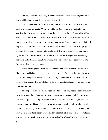"Damn, I want to eat you up," Cooper whispers a second before he gently bites down, nibbling on me as if I were a luscious dessert.

"Stop," I demand and tug on a fistful of his rich, dark hair. The little sting forces Cooper to remove his mouth. "You weren't told to bite." I move around until I'm standing directly behind him before I bring the paddle up in the air. I watch him stiffen mere seconds before the wood smacks his buttocks. He curses, but he doesn't move. It's a measure of his devotion to me, to us, and my heart melts. I swat him twice more before I stop and move back to the front of him. His face is flushed and his dick is dripping with pre-cum. But he doesn't speak. Not a single word. The wild hunger in his gaze tears at my restraint. I'm desperate to fuck. To feel all his untamed strength between my legs, stretching and filling me. God, he's amazing and I don't know that I deserve him. But I'm just selfish enough not to care.

When he sits gingerly back on his haunches and looks up at me, I nearly cave. Christ, even on his knees he has a commanding presence. Cooper is the type of man who doesn't need to speak to convey an air of authority. I suppose that's half the thrill of watching him submit. The knowledge that he never goes to his knees for anyone but me is a major turn on.

His huge cock pulses with the need for release. I lick my lips as a pearl of creamy moisture glistens the bulbous tip. No way can I resist the invitation to lick it off. I step forward and get down on my hands and knees in front of him. With his eyes on me, I lower my head over his erection and swipe my tongue around that gloriously fat cock before I suck the tasty treat into my mouth. The warm sticky liquid coats my voracious tongue. His rich taste is exactly what I need in that moment in time, but Cooper's harsh groan forces me to pull back. His hands are fisted at his sides as his gaze pins me in place.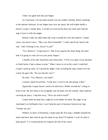I knew our game had only just begun.

As I lean back, I let my palm smooth over my leather-clad hip, before venturing to the juncture between. As my fingers pass over my pussy, the soft leather hardly a barrier, Cooper's mouth thins. A trickle of sweat travels down his chest and I had the urge to trace it with my tongue.

Instead, I take my other hand and wrap it around his cock and squeeze. Cooper curses, but doesn't move. "Mm, your dick is beautiful." I smile and tilt my head to the side. "And it belongs to me, doesn't it, pet?"

"Yes, Mistress," Cooper growls. "But if you squeeze the damn thing one more time I'm going to come all over your pretty fingers."

I chuckle at his utter frustration and release him. "I'd be very upset if you decided to finish before I had a chance to play." When I move to sit on the couch I could feel Cooper's pent-up need. As I spread my thighs wide, revealing the snap closure over my crotch, his gaze lifts. "Do you like the view?"

He nods. "Yes, Mistress, very much."

I extend a hand toward him. "Come here. Crawl to me and unsnap it then."

Apparently Cooper doesn't need to be told twice. Within seconds he's sitting in front of me. My face heats as he arrogantly runs his hand over the smooth, shiny material covering my pussy. I slap him away. "Were you told to touch?"

Cooper balls his hand into a tight fist as he shakes his head. His anger at my reprimand is so brilliantly clear. I can't help the pool of moisture between my legs. "Unsnap me, pet."

Without an ounce of hesitation, Cooper pops the first snap. I shudder beneath his touch and know that when he gets his hand on my flesh I'll explode. I won't be able to help myself. I've waited entirely too long for the feel of his caress.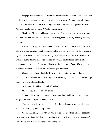He pops two more snaps and I hear the deep timbre of his voice as he curses. I run my hand over his abs and hum my approval at his hard body. "You're beautiful," I praise him. "My beautiful lover." I stroke a finger over one of his nipples. It pebbles for me. "Do you want to taste my pussy? Would you like that?"

"Fuck, yes," he says as his gaze snares mine. "I want to kiss it. I want to tonguefuck you until you scream." He undoes another snap, then one more, revealing my soft, bare skin.

I'm not wearing panties and I know he likes what he sees. His nostrils flare as if taking in and savoring my scent. His smile is slow and sexy when he sees the evidence of my arousal. Cooper unfastens the remaining snaps as if he has all the time in the world. When he pushes the material wide and gets an eyeful I feel his hands tremble. His restraint costs him dearly. I love him all the more for it because it's proof how much he wants to please me. How much he's willing to give up for me.

Cooper's cock flexes, his balls drawing up tight. Not only weren't there any panties, but I also waxed. He lets one finger stroke the baby-soft skin and a whimper slips from between my clenched teeth.

"I like this," he whispers. "Such a lovely treat."

"I hoped you'd appreciate my efforts."

"You did this for me." He made it a statement, but I nod in confirmation anyway. His gaze darkens with possessiveness. "Mine."

That single word turns my legs to Jell-O. I dig my fingers into the couch cushion to keep from dragging him on top of me.

Cooper inhales my scent. "Damn, that's sweet," he growls as his head descends. He kisses the soft bare flesh first, as if needing to show me how much he adores the gift I'm offering him. I clutch his head between my palms.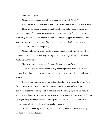"Oh, God," I groan.

Cooper slips his hands beneath my ass and holds me still. "May I?"

I nod, unable to voice my commands. That time is over. All I want now is Cooper.

He swirls his tongue over and around the little knot before dipping inside my tight, hot passage. The instant my sweet cream hits his taste buds Cooper seems lost to our little game. It's as if I've invaded his senses. As if I've slipped inside his soul. The same way he's slipped inside mine. We breathe the same air. Feel the same drowning desire to explore each other completely.

Cooper licks my slit and a rumble emanates from his chest. I'm entranced by his feral response. "I want you needing me, Soph," he whispers against my hot, wet flesh, "Only me. Always me."

"I only have time for one pet, Cooper," I admit. "And that's you."

There is something primitive and savage in his expression as he says, "Good, because I wouldn't be at all happy if you decided to share, Mistress. I'm a greedy son-ofa-bitch."

I tried to reassure him, but it was useless. Somehow he'd turned the tables. Now, the only thing I want to do is surrender. Cooper spreads my legs wider and tastes my pussy. He kisses the tip of my swollen and sensitive clit, clearly eager for my body to give him total began to move against his mouth. As he parts me with his fingers and sinks his tongue deep inside my opening I thrust against his face. He knows I'm close. He nibbles on my clit, teasing the sensitive bundle of nerves.

"I've never been a jealous man, but I know if any other man dares to touch you I'd happily break their hands."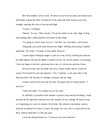Her body shudders at his words. He moves away from my pussy and instead uses both hands to grasp the shiny red material of my pants and yank. It gives way to his strength, exposing the curve of one hip and thigh.

"Cooper," I whimper.

"Beauty," he says. "Sheer beauty." He put his mouth on my inner thigh, licking and suckling until a small purplish circle starts to take shape.

"I'm going to want to mark you too," I tell him, my voice husky with arousal.

"Imagining your pretty head between my thighs, nibbling and teasing is damned appealing." He winks. "I'm putty in your hands, Mistress."

Cooper begins sliding his tongue in and out of me, slowly, building my pleasure by small degrees. He uses his thumb to stroke over my clit. All too quickly I'm moaning. I bury my fingers in his hair, anchoring him to me as I ride out my glorious climax.

Several seconds later my hands fall away. Cooper stands, and as I watch, he wraps a fist around his cock and squeezes. "Yes," I murmur, as my gaze takes in the delicious show. My lips part as I attempt to drag air into my lungs.

Cooper reaches down and cups my chin. Our gazes lock as Cooper groans, "I need you."

I smile and stand. "I've needed you for too long."

As skillfully as possible in that moment of quivery legs and fast breathing, I bend and pull off the high heels and peel away the remnants of my clothing. He feasts on me, as if imprinting my curves to memory for all time. My seductive movements seem to shred the last thread of Cooper's control. He pumps his cock, and I'm captivated by the thick, bulbous head that's so full and eager.

I close the distant between us. "I want your fat cock inside me."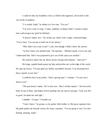I could see that my breathless voice, so filled with eagerness, drives him to the very brink of madness.

"I've ached, Soph," he admits in a low tone. "For you."

"I'm sorry I took so long," I reply, suddenly wishing I hadn't wasted so much time wallowing in my grief for Michael.

"It doesn't matter now." He strokes my cheek with a single, calloused finger.

"You're here. You can put us both out of our misery."

"Why didn't you come to me?" I ask, even though I think I know the answer.

"At first I knew you needed time," He murmurs. "Michael meant a lot to you and

I understand that. And I was prepared to give you all the space you needed."

His sensitive nature has my throat nearly closing with emotion. "And now?"

His large, capable hands grasp my hips and perches me on the edge of the couch.

He cups my breast. "I'm just glad you finally succumbed because I was all prepared to throw myself at your feet."

I cradle his face in my palms. "Such a giving man," I whisper. "I'm not sure I deserve you."

"The past doesn't matter. We're here now. That's all that matters." He lowers his body on top of mine, and begins slowly pushing into my narrow passage. "God, you feel so good. So damn hot and tight."

I shudder. "Cooper," I breathe out.

"Yeah, I know," he groans, as he pushes little farther in. My pussy squeezes him. His girth pushes me beyond reason. He stops a moment. "I'm not going to last. You feel fucking amazing, Soph."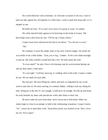His words filled me with excitement. As I become accustom to his size, I start to push my hips against his, driving him in a little more. I ache to push him deep until we're merged as one.

He holds me firm. "If we don't slow down I'm going to come," he admits.

His solid, muscled body appears to be hovering on the brink of ecstasy. The knowledge tears a plea from my lips. "Fill me up, Cooper, please."

Cooper leans down and presses his lips to my throat. "Yes, but not so soon." "Oh."

He continues to tease the jumpy pulse in my neck with his tongue. He inches his way inside of me a little farther. "God, you're big," I mutter. As his cock slides teasingly in and out. My body clenches around him like a fist. We both moan this time.

"Is it too much?" he asks. Even in his burning state he worries about hurting me and my heart melts a little more.

"It's just right," I tell him, knowing it's nothing short of the truth. Cooper is made for me. We are made for each other.

My lips part. The heat filling my cheeks and neck accompanied by my words seem to spur him on. He starts moving in a sensual rhythm, sliding in and out, taking his time, filling me to the hilt. It's not enough, would never be enough. He lifts up and hooks his arms beneath my knees and spreads me wider, then thrust in hard, fast.

He never takes his eyes from mine, never leaves me to drift alone. When my lashes begin to close in an attempt to hold in the exhilarating sensations, Cooper's harsh, "No." causes me to open them wide. "Keep those pretty eyes trained on me. Don't close me out. Never again."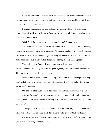I hear his words and watch the strain on his face and the sweat on his brow. He's holding back, maintaining control. I didn't want him to be controlled. Never that. I want him as wildly uninhibited as me.

I wrap my legs around his hips and arch my bottom off the bed. The motion pushes his cock inside me so deep that I can barely take a breath. Pleasure steals over me in a wave of molten lava.

"God, Soph, I'm going to lose it if you don't stop," Cooper growls.

The muscles in his neck strain and his sinewy arms anchor me to him, effectively keeping me in place, forcing me to surrender. As Cooper reaches between our bodies and caresses my clit with one talented finger, stroking my wet heat, I shatter. I shout out his name as an explosive climax rushes though me. Tearing me in a million pieces.

That's all it takes. Cooper drives into me fast and hard, pumping like a man crazed with desire. Suddenly, he joins me, pouring every ounce of his seed inside of me. The warmth of his come fills me clear to my soul.

Several minutes later, Cooper is pouring soap into his hands and begins washing me. The hot spray of water surrounds us both with heat. It isn't long before I'm getting stirred up all over again.

Our shower takes much longer than necessary and yet I didn't want it to end.

Afterwards, he talks me into staying the night, not that it took much convincing. I want to be with him. Every second of the day. I'm in love with him. But does he feel this way for me?

As I begin to drift into sleep safely tucked into his embrace, Cooper's deep, sexy voice rouses me. When my gaze meets his, he says, "I love you with all my heart."

My heart swells with hope for the first time since losing Michael. "I was so afraid you didn't," I tell him, baring my soul.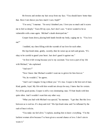He frowns and strokes my hair away from my face. "You should know better than that. Have I not shown you how much I care, Soph?"

"I'm sorry," I murmur. "So sorry I doubted you. I love you so much and it scares me to feel so deeply." Tears fill my eyes, but I don't care. "I never wanted to be so vulnerable with a man again. Michael's death destroyed me."

Cooper leans down, placing both hands beside my body, caging me in. "You love me?"

I nodded, my chest filling with the warmth of our love for each other.

His lips brush mine, gently, sweetly, then he raises up an inch and groans, "It's okay to be careful to guard your heart. Just don't guard it against me."

"At first it felt wrong because you're my assistant. You were a part of my life with Michael," she explained.

"And now?"

"Now I know that Michael wouldn't want me to grieve for him forever."

"No, he wouldn't," he agrees.

"And I can't imagine living without you." It's true. Cooper is the best sort of man. Kind, gentle, loyal. My life with him would not always be easy, I knew that for certain. For all his good points, Cooper is still a very dominating man. I'll butt heads with him quite often. And I wouldn't want him any other way.

"What you had with Michael was special," he murmurs. "I get that. But this love between us is real too. It's deep and rich." His lips brush mine and I'm inflamed by the rush of heat it elicits.

"You make me feel alive," I explain, needing him to know everything. "I'm the luckiest woman alive because I've been given a second chance at love. I don't aim to waste it."